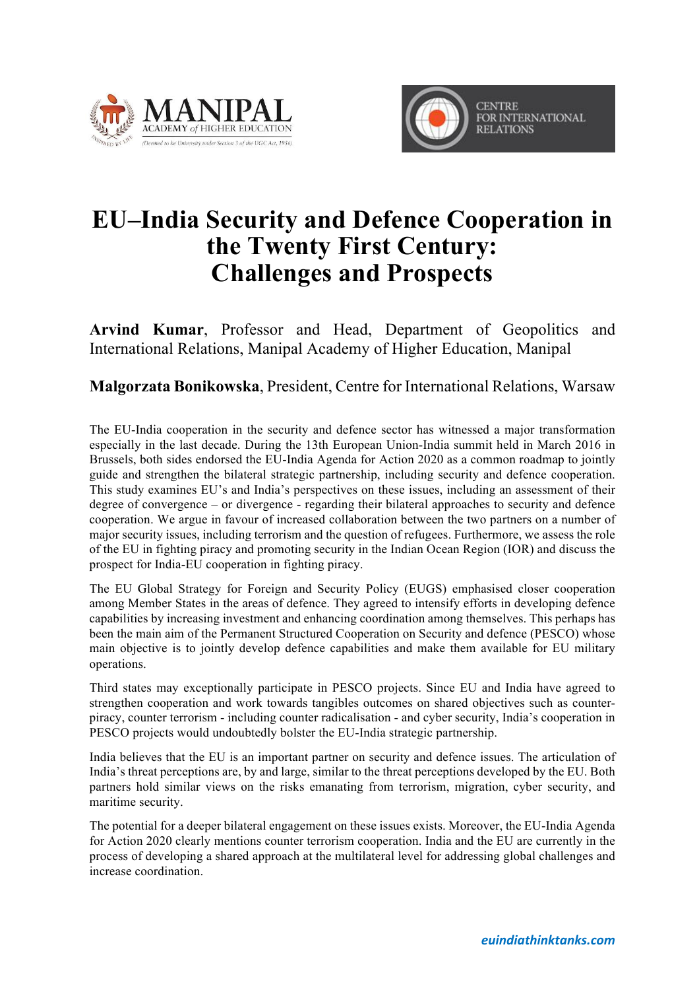



## **EU–India Security and Defence Cooperation in the Twenty First Century: Challenges and Prospects**

**Arvind Kumar**, Professor and Head, Department of Geopolitics and International Relations, Manipal Academy of Higher Education, Manipal

**Malgorzata Bonikowska**, President, Centre for International Relations, Warsaw

The EU-India cooperation in the security and defence sector has witnessed a major transformation especially in the last decade. During the 13th European Union-India summit held in March 2016 in Brussels, both sides endorsed the EU-India Agenda for Action 2020 as a common roadmap to jointly guide and strengthen the bilateral strategic partnership, including security and defence cooperation. This study examines EU's and India's perspectives on these issues, including an assessment of their degree of convergence – or divergence - regarding their bilateral approaches to security and defence cooperation. We argue in favour of increased collaboration between the two partners on a number of major security issues, including terrorism and the question of refugees. Furthermore, we assess the role of the EU in fighting piracy and promoting security in the Indian Ocean Region (IOR) and discuss the prospect for India-EU cooperation in fighting piracy.

The EU Global Strategy for Foreign and Security Policy (EUGS) emphasised closer cooperation among Member States in the areas of defence. They agreed to intensify efforts in developing defence capabilities by increasing investment and enhancing coordination among themselves. This perhaps has been the main aim of the Permanent Structured Cooperation on Security and defence (PESCO) whose main objective is to jointly develop defence capabilities and make them available for EU military operations.

Third states may exceptionally participate in PESCO projects. Since EU and India have agreed to strengthen cooperation and work towards tangibles outcomes on shared objectives such as counterpiracy, counter terrorism - including counter radicalisation - and cyber security, India's cooperation in PESCO projects would undoubtedly bolster the EU-India strategic partnership.

India believes that the EU is an important partner on security and defence issues. The articulation of India's threat perceptions are, by and large, similar to the threat perceptions developed by the EU. Both partners hold similar views on the risks emanating from terrorism, migration, cyber security, and maritime security.

The potential for a deeper bilateral engagement on these issues exists. Moreover, the EU-India Agenda for Action 2020 clearly mentions counter terrorism cooperation. India and the EU are currently in the process of developing a shared approach at the multilateral level for addressing global challenges and increase coordination.